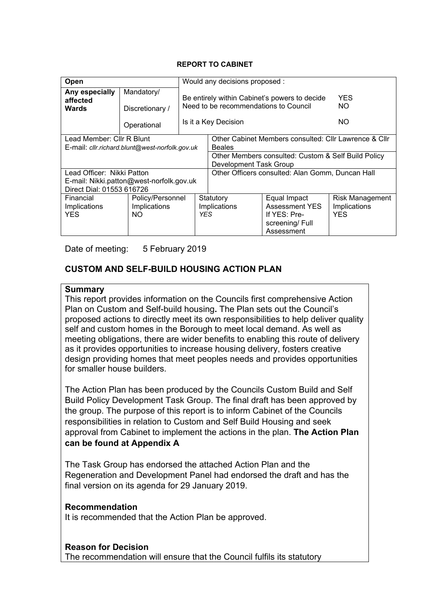### **REPORT TO CABINET**

| Open                                                                                                                                                  |                                         | Would any decisions proposed : |                                                                                                                                                                                                             |                                                                                       |                                                |  |  |
|-------------------------------------------------------------------------------------------------------------------------------------------------------|-----------------------------------------|--------------------------------|-------------------------------------------------------------------------------------------------------------------------------------------------------------------------------------------------------------|---------------------------------------------------------------------------------------|------------------------------------------------|--|--|
| Any especially<br>affected<br><b>Wards</b>                                                                                                            | Mandatory/<br>Discretionary /           |                                | Be entirely within Cabinet's powers to decide<br>Need to be recommendations to Council<br>Is it a Key Decision                                                                                              | <b>YES</b><br>NO.<br>NO.                                                              |                                                |  |  |
|                                                                                                                                                       | Operational                             |                                |                                                                                                                                                                                                             |                                                                                       |                                                |  |  |
| Lead Member: Cllr R Blunt<br>E-mail: cllr.richard.blunt@west-norfolk.gov.uk<br>Lead Officer: Nikki Patton<br>E-mail: Nikki.patton@west-norfolk.gov.uk |                                         |                                | Other Cabinet Members consulted: Cllr Lawrence & Cllr<br><b>Beales</b><br>Other Members consulted: Custom & Self Build Policy<br>Development Task Group<br>Other Officers consulted: Alan Gomm, Duncan Hall |                                                                                       |                                                |  |  |
| Direct Dial: 01553 616726<br>Financial<br>Implications<br><b>YES</b>                                                                                  | Policy/Personnel<br>Implications<br>NO. |                                | Statutory<br>Implications<br><b>YES</b>                                                                                                                                                                     | Equal Impact<br><b>Assessment YES</b><br>If YES: Pre-<br>screening/Full<br>Assessment | <b>Risk Management</b><br>Implications<br>YFS. |  |  |

Date of meeting: 5 February 2019

### **CUSTOM AND SELF-BUILD HOUSING ACTION PLAN**

### **Summary**

This report provides information on the Councils first comprehensive Action Plan on Custom and Self-build housing**.** The Plan sets out the Council's proposed actions to directly meet its own responsibilities to help deliver quality self and custom homes in the Borough to meet local demand. As well as meeting obligations, there are wider benefits to enabling this route of delivery as it provides opportunities to increase housing delivery, fosters creative design providing homes that meet peoples needs and provides opportunities for smaller house builders.

The Action Plan has been produced by the Councils Custom Build and Self Build Policy Development Task Group. The final draft has been approved by the group. The purpose of this report is to inform Cabinet of the Councils responsibilities in relation to Custom and Self Build Housing and seek approval from Cabinet to implement the actions in the plan. **The Action Plan can be found at Appendix A**

The Task Group has endorsed the attached Action Plan and the Regeneration and Development Panel had endorsed the draft and has the final version on its agenda for 29 January 2019.

#### **Recommendation**

It is recommended that the Action Plan be approved.

#### **Reason for Decision**

The recommendation will ensure that the Council fulfils its statutory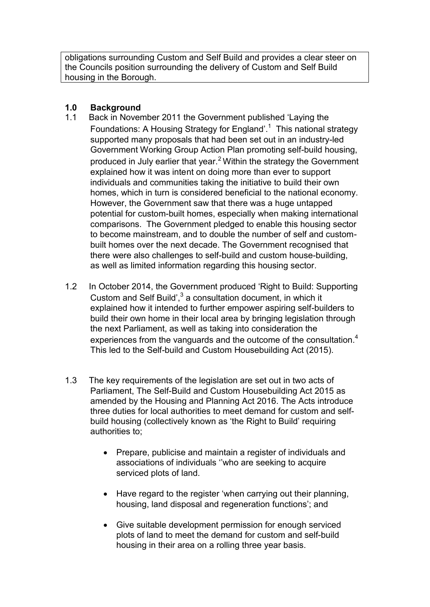obligations surrounding Custom and Self Build and provides a clear steer on the Councils position surrounding the delivery of Custom and Self Build housing in the Borough.

## **1.0 Background**

- 1.1 Back in November 2011 the Government published 'Laying the Foundations: A Housing Strategy for England'.<sup>1</sup> This national strategy supported many proposals that had been set out in an industry-led Government Working Group Action Plan promoting self-build housing, produced in July earlier that year.<sup>2</sup> Within the strategy the Government explained how it was intent on doing more than ever to support individuals and communities taking the initiative to build their own homes, which in turn is considered beneficial to the national economy. However, the Government saw that there was a huge untapped potential for custom-built homes, especially when making international comparisons. The Government pledged to enable this housing sector to become mainstream, and to double the number of self and custombuilt homes over the next decade. The Government recognised that there were also challenges to self-build and custom house-building, as well as limited information regarding this housing sector.
- 1.2 In October 2014, the Government produced 'Right to Build: Supporting Custom and Self Build', $3$  a consultation document, in which it explained how it intended to further empower aspiring self-builders to build their own home in their local area by bringing legislation through the next Parliament, as well as taking into consideration the experiences from the vanguards and the outcome of the consultation.<sup>4</sup> This led to the Self-build and Custom Housebuilding Act (2015).
- 1.3 The key requirements of the legislation are set out in two acts of Parliament, The Self-Build and Custom Housebuilding Act 2015 as amended by the Housing and Planning Act 2016. The Acts introduce three duties for local authorities to meet demand for custom and selfbuild housing (collectively known as 'the Right to Build' requiring authorities to;
	- Prepare, publicise and maintain a register of individuals and associations of individuals ''who are seeking to acquire serviced plots of land.
	- Have regard to the register 'when carrying out their planning, housing, land disposal and regeneration functions'; and
	- Give suitable development permission for enough serviced plots of land to meet the demand for custom and self-build housing in their area on a rolling three year basis.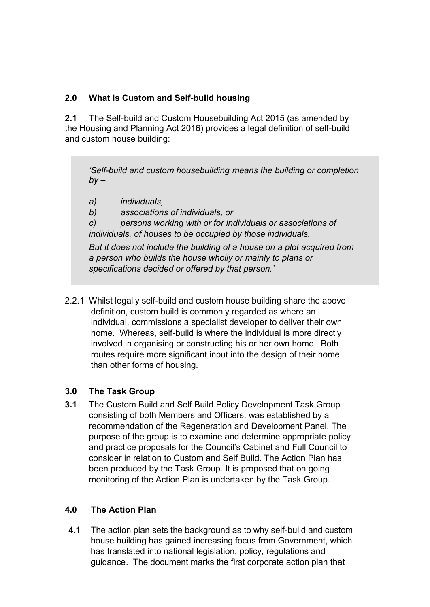# **2.0 What is Custom and Self-build housing**

**2.1** The Self-build and Custom Housebuilding Act 2015 (as amended by the Housing and Planning Act 2016) provides a legal definition of self-build and custom house building:

*'Self-build and custom housebuilding means the building or completion by –*

- *a) individuals,*
- *b) associations of individuals, or*

*c) persons working with or for individuals or associations of individuals, of houses to be occupied by those individuals.*

*But it does not include the building of a house on a plot acquired from a person who builds the house wholly or mainly to plans or specifications decided or offered by that person.'*

2.2.1 Whilst legally self-build and custom house building share the above definition, custom build is commonly regarded as where an individual, commissions a specialist developer to deliver their own home. Whereas, self-build is where the individual is more directly involved in organising or constructing his or her own home. Both routes require more significant input into the design of their home than other forms of housing.

## **3.0 The Task Group**

**3.1** The Custom Build and Self Build Policy Development Task Group consisting of both Members and Officers, was established by a recommendation of the Regeneration and Development Panel. The purpose of the group is to examine and determine appropriate policy and practice proposals for the Council's Cabinet and Full Council to consider in relation to Custom and Self Build. The Action Plan has been produced by the Task Group. It is proposed that on going monitoring of the Action Plan is undertaken by the Task Group.

## **4.0 The Action Plan**

**4.1** The action plan sets the background as to why self-build and custom house building has gained increasing focus from Government, which has translated into national legislation, policy, regulations and guidance. The document marks the first corporate action plan that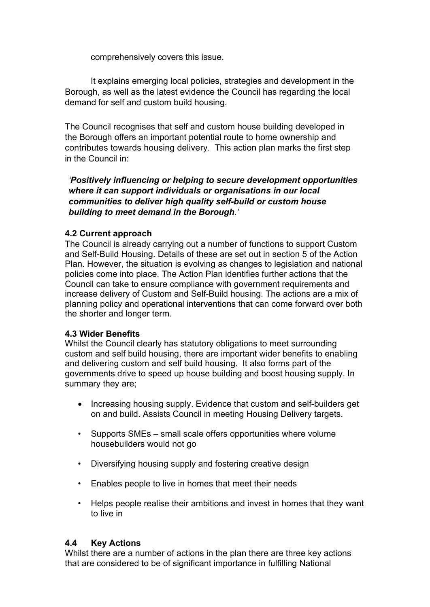comprehensively covers this issue.

It explains emerging local policies, strategies and development in the Borough, as well as the latest evidence the Council has regarding the local demand for self and custom build housing.

The Council recognises that self and custom house building developed in the Borough offers an important potential route to home ownership and contributes towards housing delivery. This action plan marks the first step in the Council in:

*'Positively influencing or helping to secure development opportunities where it can support individuals or organisations in our local communities to deliver high quality self-build or custom house building to meet demand in the Borough.'*

## **4.2 Current approach**

The Council is already carrying out a number of functions to support Custom and Self-Build Housing. Details of these are set out in section 5 of the Action Plan. However, the situation is evolving as changes to legislation and national policies come into place. The Action Plan identifies further actions that the Council can take to ensure compliance with government requirements and increase delivery of Custom and Self-Build housing. The actions are a mix of planning policy and operational interventions that can come forward over both the shorter and longer term.

### **4.3 Wider Benefits**

Whilst the Council clearly has statutory obligations to meet surrounding custom and self build housing, there are important wider benefits to enabling and delivering custom and self build housing. It also forms part of the governments drive to speed up house building and boost housing supply. In summary they are;

- Increasing housing supply. Evidence that custom and self-builders get on and build. Assists Council in meeting Housing Delivery targets.
- Supports SMEs small scale offers opportunities where volume housebuilders would not go
- Diversifying housing supply and fostering creative design
- Enables people to live in homes that meet their needs
- Helps people realise their ambitions and invest in homes that they want to live in

## **4.4 Key Actions**

Whilst there are a number of actions in the plan there are three key actions that are considered to be of significant importance in fulfilling National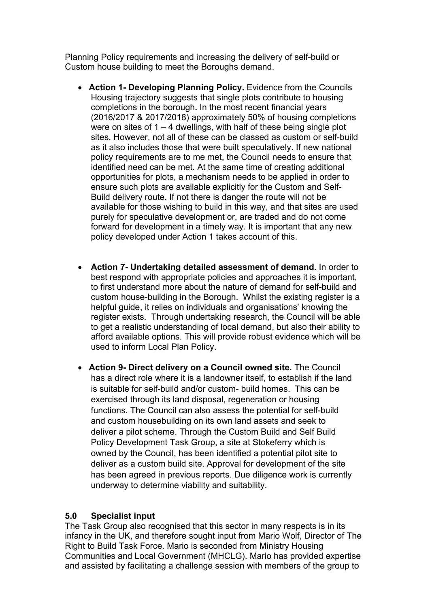Planning Policy requirements and increasing the delivery of self-build or Custom house building to meet the Boroughs demand.

- **Action 1- Developing Planning Policy.** Evidence from the Councils Housing trajectory suggests that single plots contribute to housing completions in the borough**.** In the most recent financial years (2016/2017 & 2017/2018) approximately 50% of housing completions were on sites of 1 – 4 dwellings, with half of these being single plot sites. However, not all of these can be classed as custom or self-build as it also includes those that were built speculatively. If new national policy requirements are to me met, the Council needs to ensure that identified need can be met. At the same time of creating additional opportunities for plots, a mechanism needs to be applied in order to ensure such plots are available explicitly for the Custom and Self-Build delivery route. If not there is danger the route will not be available for those wishing to build in this way, and that sites are used purely for speculative development or, are traded and do not come forward for development in a timely way. It is important that any new policy developed under Action 1 takes account of this.
- **Action 7- Undertaking detailed assessment of demand.** In order to best respond with appropriate policies and approaches it is important, to first understand more about the nature of demand for self-build and custom house-building in the Borough. Whilst the existing register is a helpful guide, it relies on individuals and organisations' knowing the register exists. Through undertaking research, the Council will be able to get a realistic understanding of local demand, but also their ability to afford available options. This will provide robust evidence which will be used to inform Local Plan Policy.
- **Action 9- Direct delivery on a Council owned site.** The Council has a direct role where it is a landowner itself, to establish if the land is suitable for self-build and/or custom- build homes. This can be exercised through its land disposal, regeneration or housing functions. The Council can also assess the potential for self-build and custom housebuilding on its own land assets and seek to deliver a pilot scheme. Through the Custom Build and Self Build Policy Development Task Group, a site at Stokeferry which is owned by the Council, has been identified a potential pilot site to deliver as a custom build site. Approval for development of the site has been agreed in previous reports. Due diligence work is currently underway to determine viability and suitability.

### **5.0 Specialist input**

The Task Group also recognised that this sector in many respects is in its infancy in the UK, and therefore sought input from Mario Wolf, Director of The Right to Build Task Force. Mario is seconded from Ministry Housing Communities and Local Government (MHCLG). Mario has provided expertise and assisted by facilitating a challenge session with members of the group to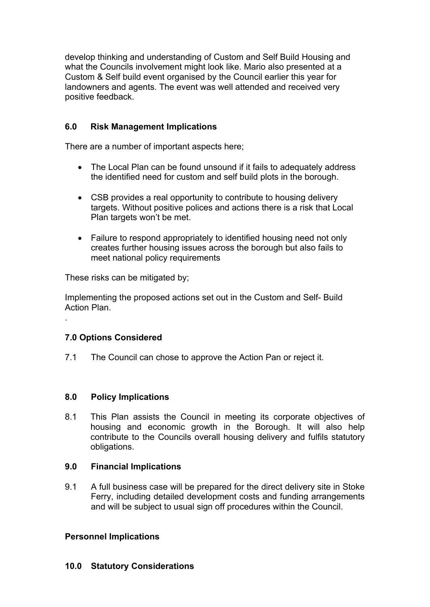develop thinking and understanding of Custom and Self Build Housing and what the Councils involvement might look like. Mario also presented at a Custom & Self build event organised by the Council earlier this year for landowners and agents. The event was well attended and received very positive feedback.

## **6.0 Risk Management Implications**

There are a number of important aspects here;

- The Local Plan can be found unsound if it fails to adequately address the identified need for custom and self build plots in the borough.
- CSB provides a real opportunity to contribute to housing delivery targets. Without positive polices and actions there is a risk that Local Plan targets won't be met.
- Failure to respond appropriately to identified housing need not only creates further housing issues across the borough but also fails to meet national policy requirements

These risks can be mitigated by;

Implementing the proposed actions set out in the Custom and Self- Build Action Plan.

## **7.0 Options Considered**

.

7.1 The Council can chose to approve the Action Pan or reject it.

## **8.0 Policy Implications**

8.1 This Plan assists the Council in meeting its corporate objectives of housing and economic growth in the Borough. It will also help contribute to the Councils overall housing delivery and fulfils statutory obligations.

## **9.0 Financial Implications**

9.1 A full business case will be prepared for the direct delivery site in Stoke Ferry, including detailed development costs and funding arrangements and will be subject to usual sign off procedures within the Council.

## **Personnel Implications**

## **10.0 Statutory Considerations**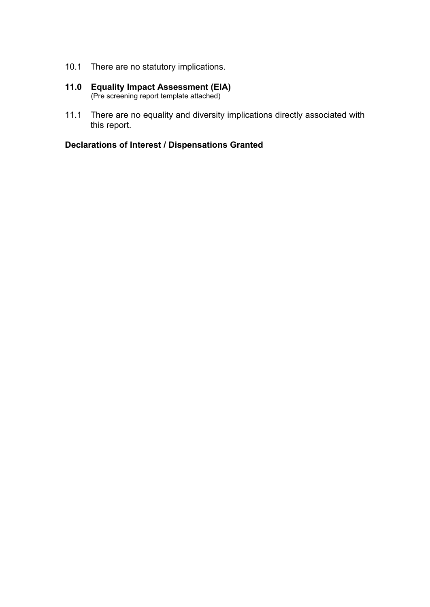- 10.1 There are no statutory implications.
- **11.0 Equality Impact Assessment (EIA)** (Pre screening report template attached)
- 11.1 There are no equality and diversity implications directly associated with this report.

# **Declarations of Interest / Dispensations Granted**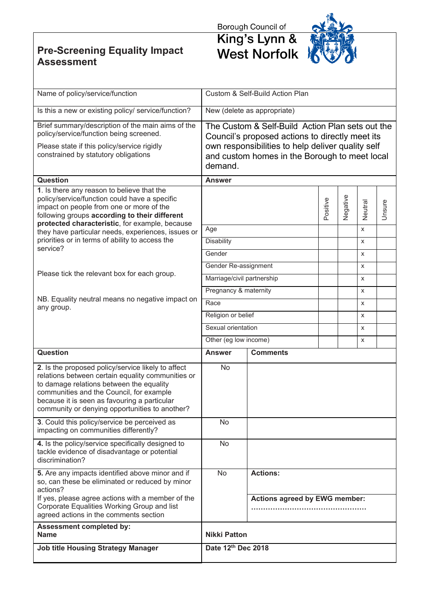**Pre-Screening Equality Impact Assessment**

Borough Council of<br> **King's Lynn &<br>
West Norfolk** 



| Name of policy/service/function                                                                                                                                                                                                                                                                   | Custom & Self-Build Action Plan                                                                                                                                                                                      |                                      |          |          |         |        |  |
|---------------------------------------------------------------------------------------------------------------------------------------------------------------------------------------------------------------------------------------------------------------------------------------------------|----------------------------------------------------------------------------------------------------------------------------------------------------------------------------------------------------------------------|--------------------------------------|----------|----------|---------|--------|--|
| Is this a new or existing policy/ service/function?                                                                                                                                                                                                                                               | New (delete as appropriate)                                                                                                                                                                                          |                                      |          |          |         |        |  |
| Brief summary/description of the main aims of the<br>policy/service/function being screened.<br>Please state if this policy/service rigidly<br>constrained by statutory obligations                                                                                                               | The Custom & Self-Build Action Plan sets out the<br>Council's proposed actions to directly meet its<br>own responsibilities to help deliver quality self<br>and custom homes in the Borough to meet local<br>demand. |                                      |          |          |         |        |  |
| <b>Question</b>                                                                                                                                                                                                                                                                                   | <b>Answer</b>                                                                                                                                                                                                        |                                      |          |          |         |        |  |
| 1. Is there any reason to believe that the<br>policy/service/function could have a specific<br>impact on people from one or more of the<br>following groups according to their different<br>protected characteristic, for example, because                                                        |                                                                                                                                                                                                                      |                                      | Positive | Negative | Neutral | Unsure |  |
| they have particular needs, experiences, issues or                                                                                                                                                                                                                                                | Age                                                                                                                                                                                                                  |                                      |          |          | X       |        |  |
| priorities or in terms of ability to access the<br>service?                                                                                                                                                                                                                                       | <b>Disability</b>                                                                                                                                                                                                    |                                      |          |          | X       |        |  |
|                                                                                                                                                                                                                                                                                                   | Gender                                                                                                                                                                                                               |                                      |          |          | X       |        |  |
| Please tick the relevant box for each group.                                                                                                                                                                                                                                                      | Gender Re-assignment                                                                                                                                                                                                 |                                      |          |          | X       |        |  |
|                                                                                                                                                                                                                                                                                                   | Marriage/civil partnership                                                                                                                                                                                           |                                      |          |          | X       |        |  |
| NB. Equality neutral means no negative impact on                                                                                                                                                                                                                                                  | Pregnancy & maternity                                                                                                                                                                                                |                                      |          |          | X       |        |  |
| any group.                                                                                                                                                                                                                                                                                        | Race                                                                                                                                                                                                                 |                                      |          |          | X       |        |  |
|                                                                                                                                                                                                                                                                                                   | Religion or belief                                                                                                                                                                                                   |                                      |          |          | X       |        |  |
|                                                                                                                                                                                                                                                                                                   | Sexual orientation                                                                                                                                                                                                   |                                      |          |          | X       |        |  |
|                                                                                                                                                                                                                                                                                                   | Other (eg low income)                                                                                                                                                                                                |                                      |          |          | X       |        |  |
| Question                                                                                                                                                                                                                                                                                          | <b>Answer</b>                                                                                                                                                                                                        | <b>Comments</b>                      |          |          |         |        |  |
| 2. Is the proposed policy/service likely to affect<br>relations between certain equality communities or<br>to damage relations between the equality<br>communities and the Council, for example<br>because it is seen as favouring a particular<br>community or denying opportunities to another? | <b>No</b>                                                                                                                                                                                                            |                                      |          |          |         |        |  |
| 3. Could this policy/service be perceived as<br>impacting on communities differently?                                                                                                                                                                                                             | No.                                                                                                                                                                                                                  |                                      |          |          |         |        |  |
| 4. Is the policy/service specifically designed to<br>tackle evidence of disadvantage or potential<br>discrimination?                                                                                                                                                                              | <b>No</b>                                                                                                                                                                                                            |                                      |          |          |         |        |  |
| 5. Are any impacts identified above minor and if<br>so, can these be eliminated or reduced by minor<br>actions?                                                                                                                                                                                   | <b>No</b>                                                                                                                                                                                                            | <b>Actions:</b>                      |          |          |         |        |  |
| If yes, please agree actions with a member of the<br>Corporate Equalities Working Group and list<br>agreed actions in the comments section                                                                                                                                                        |                                                                                                                                                                                                                      | <b>Actions agreed by EWG member:</b> |          |          |         |        |  |
| <b>Assessment completed by:</b><br><b>Name</b>                                                                                                                                                                                                                                                    | <b>Nikki Patton</b>                                                                                                                                                                                                  |                                      |          |          |         |        |  |
| <b>Job title Housing Strategy Manager</b>                                                                                                                                                                                                                                                         | Date 12th Dec 2018                                                                                                                                                                                                   |                                      |          |          |         |        |  |